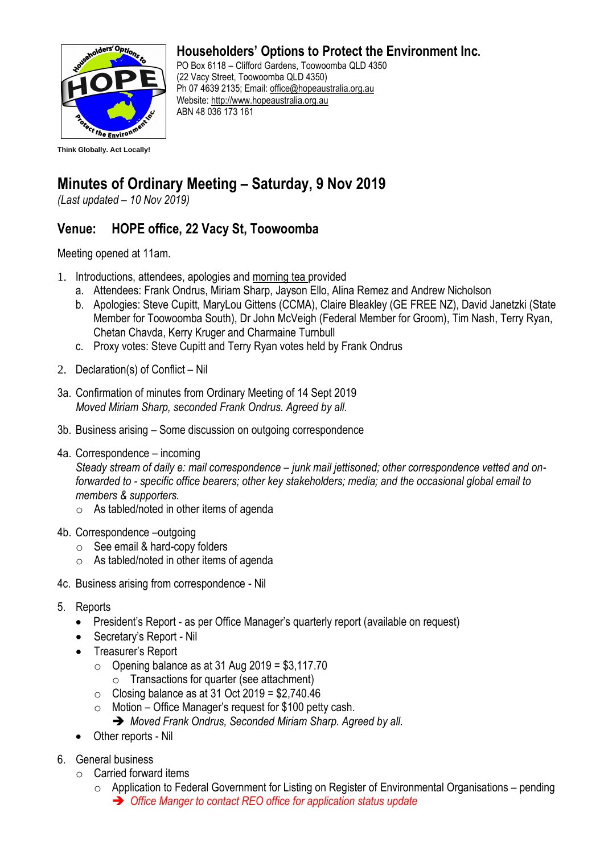

## **Householders' Options to Protect the Environment Inc.**

PO Box 6118 – Clifford Gardens, Toowoomba QLD 4350 (22 Vacy Street, Toowoomba QLD 4350) Ph 07 4639 2135; Email: office@hopeaustralia.org.au Website: [http://www.hopeaustralia.org.au](http://www.hopeaustralia.org.au/) ABN 48 036 173 161

## **Minutes of Ordinary Meeting – Saturday, 9 Nov 2019**

*(Last updated – 10 Nov 2019)*

## **Venue: HOPE office, 22 Vacy St, Toowoomba**

Meeting opened at 11am.

- 1. Introductions, attendees, apologies and morning tea provided
	- a. Attendees: Frank Ondrus, Miriam Sharp, Jayson Ello, Alina Remez and Andrew Nicholson
	- b. Apologies: Steve Cupitt, MaryLou Gittens (CCMA), Claire Bleakley (GE FREE NZ), David Janetzki (State Member for Toowoomba South), Dr John McVeigh (Federal Member for Groom), Tim Nash, Terry Ryan, Chetan Chavda, Kerry Kruger and Charmaine Turnbull
	- c. Proxy votes: Steve Cupitt and Terry Ryan votes held by Frank Ondrus
- 2. Declaration(s) of Conflict Nil
- 3a. Confirmation of minutes from Ordinary Meeting of 14 Sept 2019 *Moved Miriam Sharp, seconded Frank Ondrus. Agreed by all.*
- 3b. Business arising Some discussion on outgoing correspondence
- 4a. Correspondence incoming *Steady stream of daily e: mail correspondence – junk mail jettisoned; other correspondence vetted and onforwarded to - specific office bearers; other key stakeholders; media; and the occasional global email to members & supporters.* 
	- $\circ$  As tabled/noted in other items of agenda
- 4b. Correspondence –outgoing
	- $\circ$  See email & hard-copy folders
	- $\circ$  As tabled/noted in other items of agenda
- 4c. Business arising from correspondence Nil
- 5. Reports
	- President's Report as per Office Manager's quarterly report (available on request)
	- Secretary's Report Nil
	- Treasurer's Report
		- $\circ$  Opening balance as at 31 Aug 2019 = \$3,117.70
			- $\circ$  Transactions for quarter (see attachment)
		- $\circ$  Closing balance as at 31 Oct 2019 = \$2,740.46
		- $\circ$  Motion Office Manager's request for \$100 petty cash.
			- ➔ *Moved Frank Ondrus, Seconded Miriam Sharp. Agreed by all.*
	- Other reports Nil
- 6. General business
	- o Carried forward items
		- $\circ$  Application to Federal Government for Listing on Register of Environmental Organisations pending ➔ *Office Manger to contact REO office for application status update*